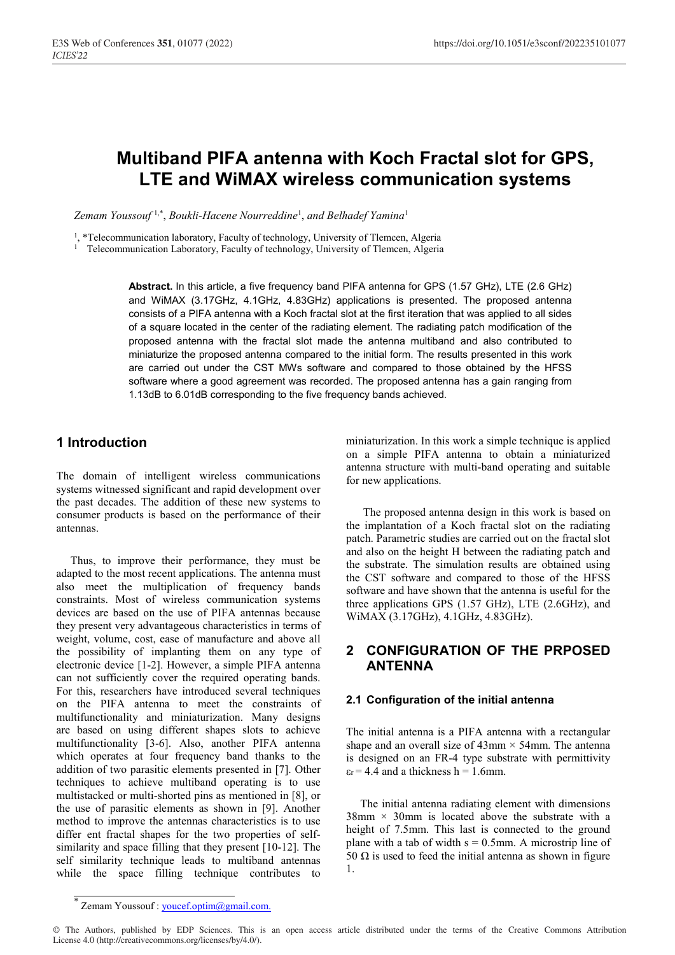# **Multiband PIFA antenna with Koch Fractal slot for GPS, LTE and WiMAX wireless communication systems**

*Zemam Youssouf* 1,\* , *Boukli-Hacene Nourreddine*<sup>1</sup> , *and Belhadef Yamina*<sup>1</sup>

<sup>1</sup>, \*Telecommunication laboratory, Faculty of technology, University of Tlemcen, Algeria

<sup>1</sup> Telecommunication Laboratory, Faculty of technology, University of Tlemcen, Algeria

**Abstract.** In this article, a five frequency band PIFA antenna for GPS (1.57 GHz), LTE (2.6 GHz) and WiMAX (3.17GHz, 4.1GHz, 4.83GHz) applications is presented. The proposed antenna consists of a PIFA antenna with a Koch fractal slot at the first iteration that was applied to all sides of a square located in the center of the radiating element. The radiating patch modification of the proposed antenna with the fractal slot made the antenna multiband and also contributed to miniaturize the proposed antenna compared to the initial form. The results presented in this work are carried out under the CST MWs software and compared to those obtained by the HFSS software where a good agreement was recorded. The proposed antenna has a gain ranging from 1.13dB to 6.01dB corresponding to the five frequency bands achieved.

# **1 Introduction**

The domain of intelligent wireless communications systems witnessed significant and rapid development over the past decades. The addition of these new systems to consumer products is based on the performance of their antennas.

 Thus, to improve their performance, they must be adapted to the most recent applications. The antenna must also meet the multiplication of frequency bands constraints. Most of wireless communication systems devices are based on the use of PIFA antennas because they present very advantageous characteristics in terms of weight, volume, cost, ease of manufacture and above all the possibility of implanting them on any type of electronic device [1-2]. However, a simple PIFA antenna can not sufficiently cover the required operating bands. For this, researchers have introduced several techniques on the PIFA antenna to meet the constraints of multifunctionality and miniaturization. Many designs are based on using different shapes slots to achieve multifunctionality [3-6]. Also, another PIFA antenna which operates at four frequency band thanks to the addition of two parasitic elements presented in [7]. Other techniques to achieve multiband operating is to use multistacked or multi-shorted pins as mentioned in [8], or the use of parasitic elements as shown in [9]. Another method to improve the antennas characteristics is to use differ ent fractal shapes for the two properties of selfsimilarity and space filling that they present [10-12]. The self similarity technique leads to multiband antennas while the space filling technique contributes to

miniaturization. In this work a simple technique is applied on a simple PIFA antenna to obtain a miniaturized antenna structure with multi-band operating and suitable for new applications.

 The proposed antenna design in this work is based on the implantation of a Koch fractal slot on the radiating patch. Parametric studies are carried out on the fractal slot and also on the height H between the radiating patch and the substrate. The simulation results are obtained using the CST software and compared to those of the HFSS software and have shown that the antenna is useful for the three applications GPS (1.57 GHz), LTE (2.6GHz), and WiMAX (3.17GHz), 4.1GHz, 4.83GHz).

# **2 CONFIGURATION OF THE PRPOSED ANTENNA**

#### **2.1 Configuration of the initial antenna**

The initial antenna is a PIFA antenna with a rectangular shape and an overall size of  $43 \text{mm} \times 54 \text{mm}$ . The antenna is designed on an FR-4 type substrate with permittivity  $\varepsilon$ r = 4.4 and a thickness h = 1.6mm.

 The initial antenna radiating element with dimensions  $38$ mm  $\times$  30mm is located above the substrate with a height of 7.5mm. This last is connected to the ground plane with a tab of width  $s = 0.5$ mm. A microstrip line of 50  $\Omega$  is used to feed the initial antenna as shown in figure 1.

<sup>\*</sup> Zemam Youssouf : youcef.optim@gmail.com.

<sup>©</sup> The Authors, published by EDP Sciences. This is an open access article distributed under the terms of the Creative Commons Attribution License 4.0 (http://creativecommons.org/licenses/by/4.0/).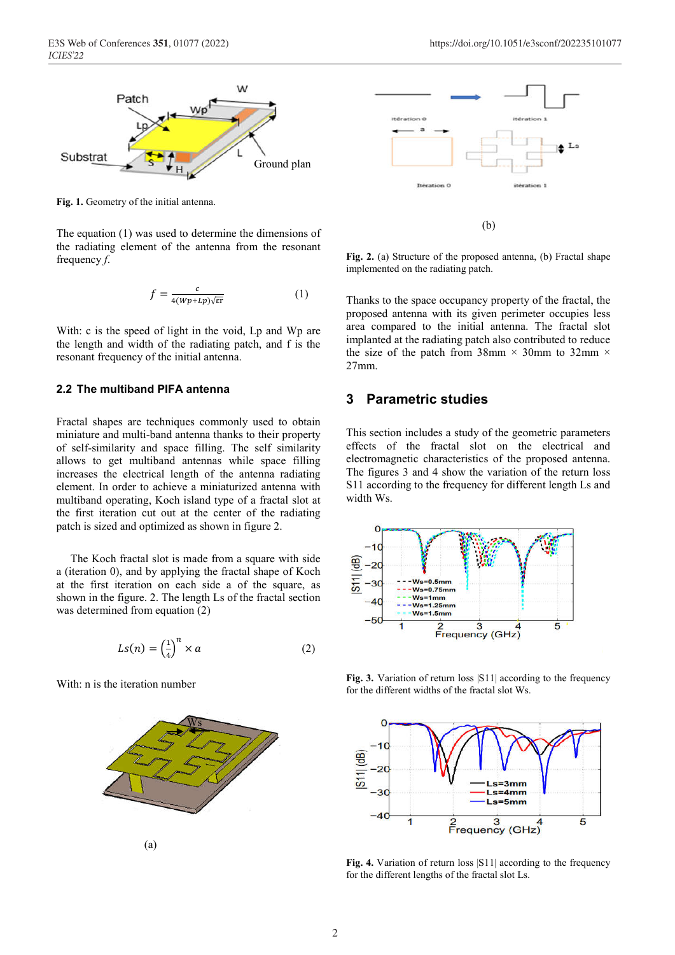

**Fig. 1.** Geometry of the initial antenna.

The equation (1) was used to determine the dimensions of the radiating element of the antenna from the resonant frequency *f*.

$$
f = \frac{c}{4(Wp + Lp)\sqrt{\varepsilon r}}\tag{1}
$$

With: c is the speed of light in the void, Lp and Wp are the length and width of the radiating patch, and f is the resonant frequency of the initial antenna.

#### **2.2 The multiband PIFA antenna**

Fractal shapes are techniques commonly used to obtain miniature and multi-band antenna thanks to their property of self-similarity and space filling. The self similarity allows to get multiband antennas while space filling increases the electrical length of the antenna radiating element. In order to achieve a miniaturized antenna with multiband operating, Koch island type of a fractal slot at the first iteration cut out at the center of the radiating patch is sized and optimized as shown in figure 2.

 The Koch fractal slot is made from a square with side a (iteration 0), and by applying the fractal shape of Koch at the first iteration on each side a of the square, as shown in the figure. 2. The length Ls of the fractal section was determined from equation (2)

$$
Ls(n) = \left(\frac{1}{4}\right)^n \times a \tag{2}
$$

With: n is the iteration number



E3S Web of Conferences **351**, 01077 (2022) https://doi.org/10.1051/e3sconf/202235101077



**Fig. 2.** (a) Structure of the proposed antenna, (b) Fractal shape implemented on the radiating patch.

Thanks to the space occupancy property of the fractal, the proposed antenna with its given perimeter occupies less area compared to the initial antenna. The fractal slot implanted at the radiating patch also contributed to reduce the size of the patch from 38mm  $\times$  30mm to 32mm  $\times$ 27mm.

## **3 Parametric studies**

This section includes a study of the geometric parameters effects of the fractal slot on the electrical and electromagnetic characteristics of the proposed antenna. The figures 3 and 4 show the variation of the return loss S11 according to the frequency for different length Ls and width Ws.



Fig. 3. Variation of return loss [S11] according to the frequency for the different widths of the fractal slot Ws.



Fig. 4. Variation of return loss [S11] according to the frequency for the different lengths of the fractal slot Ls.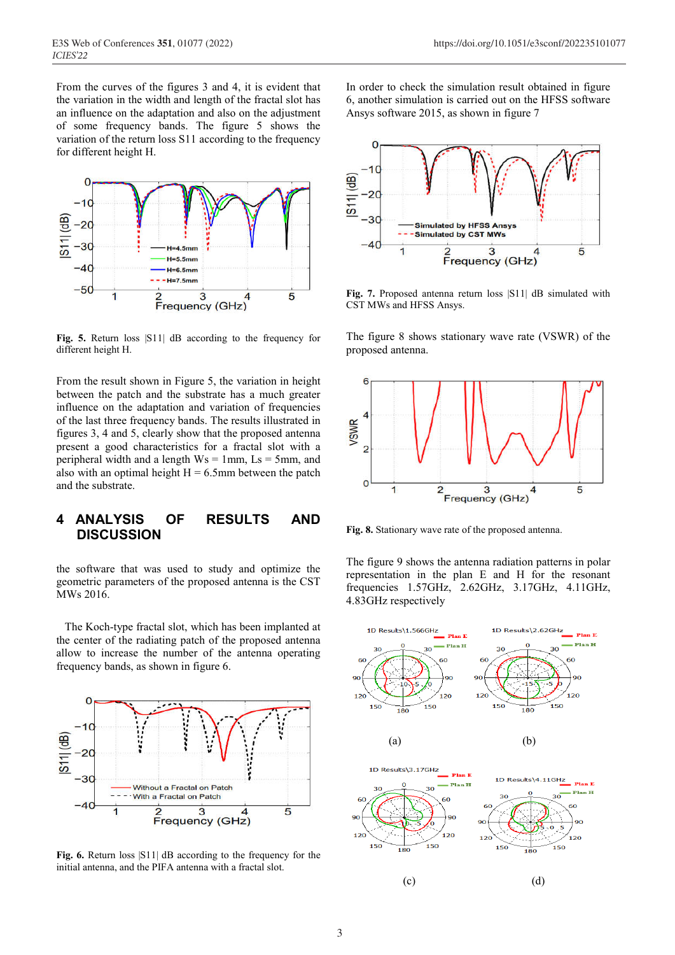From the curves of the figures 3 and 4, it is evident that the variation in the width and length of the fractal slot has an influence on the adaptation and also on the adjustment of some frequency bands. The figure 5 shows the variation of the return loss S11 according to the frequency for different height H.



**Fig. 5.** Return loss |S11| dB according to the frequency for different height H.

From the result shown in Figure 5, the variation in height between the patch and the substrate has a much greater influence on the adaptation and variation of frequencies of the last three frequency bands. The results illustrated in figures 3, 4 and 5, clearly show that the proposed antenna present a good characteristics for a fractal slot with a peripheral width and a length  $Ws = 1$ mm,  $Ls = 5$ mm, and also with an optimal height  $H = 6.5$ mm between the patch and the substrate.

## **4 ANALYSIS OF RESULTS AND DISCUSSION**

the software that was used to study and optimize the geometric parameters of the proposed antenna is the CST MWs 2016.

 The Koch-type fractal slot, which has been implanted at the center of the radiating patch of the proposed antenna allow to increase the number of the antenna operating frequency bands, as shown in figure 6.



**Fig. 6.** Return loss |S11| dB according to the frequency for the initial antenna, and the PIFA antenna with a fractal slot.

In order to check the simulation result obtained in figure 6, another simulation is carried out on the HFSS software Ansys software 2015, as shown in figure 7



**Fig. 7.** Proposed antenna return loss |S11| dB simulated with CST MWs and HFSS Ansys.

The figure 8 shows stationary wave rate (VSWR) of the proposed antenna.



**Fig. 8.** Stationary wave rate of the proposed antenna.

The figure 9 shows the antenna radiation patterns in polar representation in the plan E and H for the resonant frequencies 1.57GHz, 2.62GHz, 3.17GHz, 4.11GHz, 4.83GHz respectively

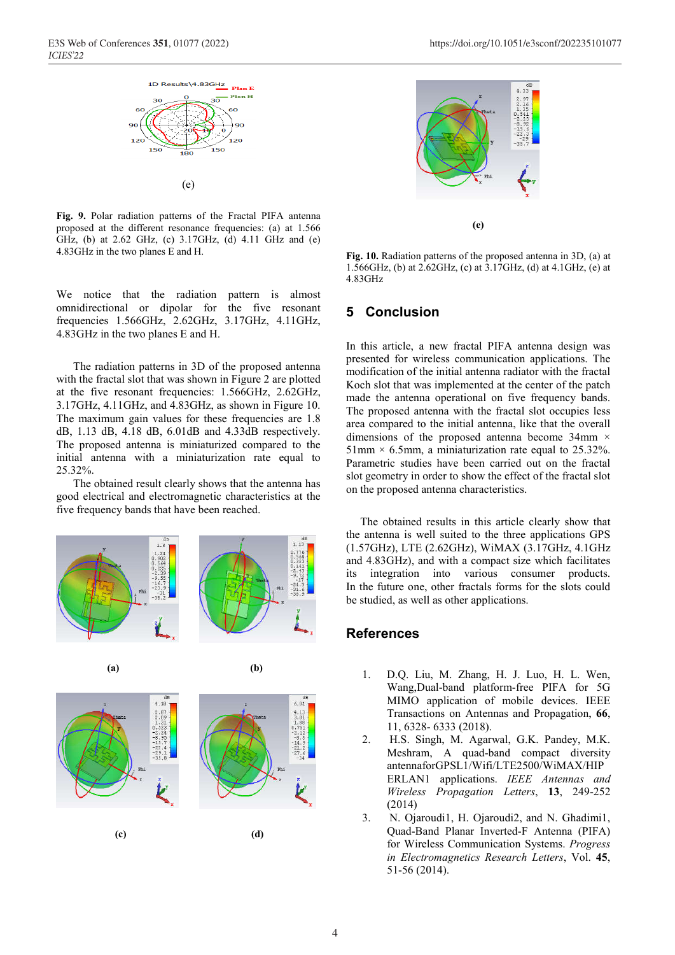

**Fig. 9.** Polar radiation patterns of the Fractal PIFA antenna proposed at the different resonance frequencies: (a) at 1.566 GHz, (b) at 2.62 GHz, (c) 3.17GHz, (d) 4.11 GHz and (e) 4.83GHz in the two planes E and H.

We notice that the radiation pattern is almost omnidirectional or dipolar for the five resonant frequencies 1.566GHz, 2.62GHz, 3.17GHz, 4.11GHz, 4.83GHz in the two planes E and H.

 The radiation patterns in 3D of the proposed antenna with the fractal slot that was shown in Figure 2 are plotted at the five resonant frequencies: 1.566GHz, 2.62GHz, 3.17GHz, 4.11GHz, and 4.83GHz, as shown in Figure 10. The maximum gain values for these frequencies are 1.8 dB, 1.13 dB, 4.18 dB, 6.01dB and 4.33dB respectively. The proposed antenna is miniaturized compared to the initial antenna with a miniaturization rate equal to 25.32%.

 The obtained result clearly shows that the antenna has good electrical and electromagnetic characteristics at the five frequency bands that have been reached.







**Fig. 10.** Radiation patterns of the proposed antenna in 3D, (a) at 1.566GHz, (b) at 2.62GHz, (c) at 3.17GHz, (d) at 4.1GHz, (e) at 4.83GHz

## **5 Conclusion**

In this article, a new fractal PIFA antenna design was presented for wireless communication applications. The modification of the initial antenna radiator with the fractal Koch slot that was implemented at the center of the patch made the antenna operational on five frequency bands. The proposed antenna with the fractal slot occupies less area compared to the initial antenna, like that the overall dimensions of the proposed antenna become 34mm × 51mm  $\times$  6.5mm, a miniaturization rate equal to 25.32%. Parametric studies have been carried out on the fractal slot geometry in order to show the effect of the fractal slot on the proposed antenna characteristics.

 The obtained results in this article clearly show that the antenna is well suited to the three applications GPS (1.57GHz), LTE (2.62GHz), WiMAX (3.17GHz, 4.1GHz and 4.83GHz), and with a compact size which facilitates its integration into various consumer products. In the future one, other fractals forms for the slots could be studied, as well as other applications.

#### **References**

- 1. D.Q. Liu, M. Zhang, H. J. Luo, H. L. Wen, Wang,Dual-band platform-free PIFA for 5G MIMO application of mobile devices. IEEE Transactions on Antennas and Propagation, **66**, 11, 6328- 6333 (2018).
- 2. H.S. Singh, M. Agarwal, G.K. Pandey, M.K. Meshram, A quad-band compact diversity antennaforGPSL1/Wifi/LTE2500/WiMAX/HIP ERLAN1 applications. *IEEE Antennas and Wireless Propagation Letters*, **13**, 249-252 (2014)
- 3. N. Ojaroudi1, H. Ojaroudi2, and N. Ghadimi1, Quad-Band Planar Inverted-F Antenna (PIFA) for Wireless Communication Systems. *Progress in Electromagnetics Research Letters*, Vol. **45**, 51-56 (2014).